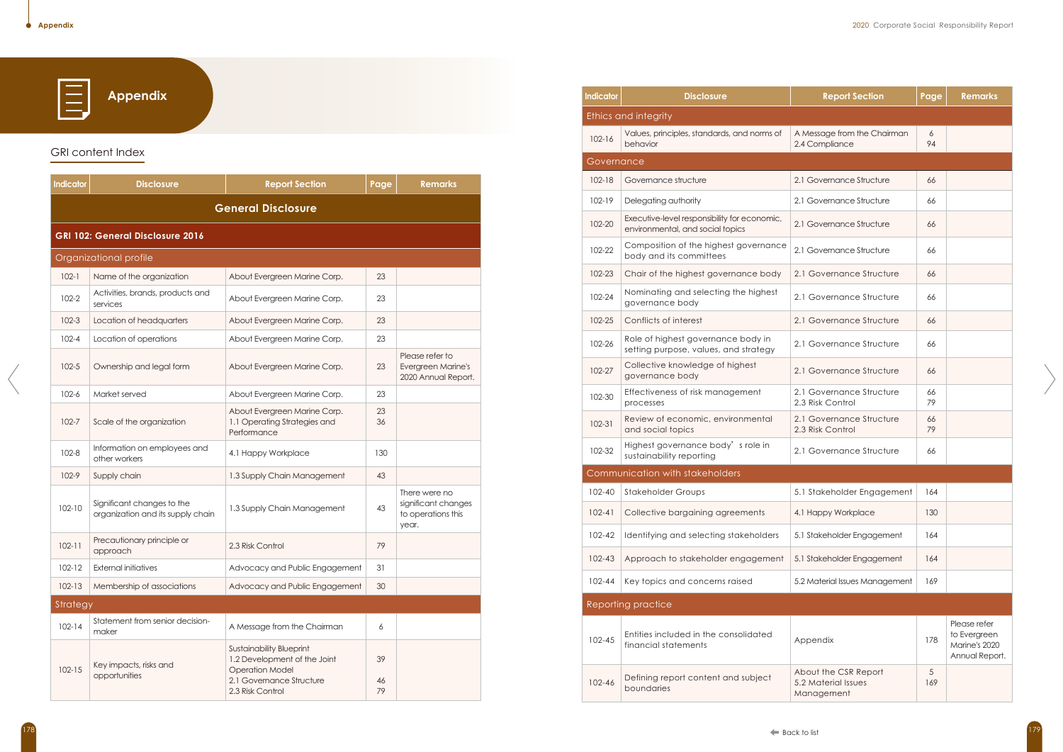E

**Appendix**

# GRI content Index

| <b>Indicator</b> | <b>Disclosure</b>                                               | <b>Report Section</b>                                                                                                                     | Page           | <b>Remarks</b>                                                      |
|------------------|-----------------------------------------------------------------|-------------------------------------------------------------------------------------------------------------------------------------------|----------------|---------------------------------------------------------------------|
|                  |                                                                 | <b>General Disclosure</b>                                                                                                                 |                |                                                                     |
|                  | <b>GRI 102: General Disclosure 2016</b>                         |                                                                                                                                           |                |                                                                     |
|                  | Organizational profile                                          |                                                                                                                                           |                |                                                                     |
| $102 - 1$        | Name of the organization                                        | About Evergreen Marine Corp.                                                                                                              | 23             |                                                                     |
| $102 - 2$        | Activities, brands, products and<br>services                    | About Evergreen Marine Corp.                                                                                                              | 23             |                                                                     |
| $102 - 3$        | Location of headquarters                                        | About Evergreen Marine Corp.                                                                                                              | 23             |                                                                     |
| $102 - 4$        | Location of operations                                          | About Evergreen Marine Corp.                                                                                                              | 23             |                                                                     |
| $102 - 5$        | Ownership and legal form                                        | About Evergreen Marine Corp.                                                                                                              | 23             | Please refer to<br><b>Evergreen Marine's</b><br>2020 Annual Report. |
| $102 - 6$        | Market served                                                   | About Evergreen Marine Corp.                                                                                                              | 23             |                                                                     |
| $102 - 7$        | Scale of the organization                                       | About Evergreen Marine Corp.<br>1.1 Operating Strategies and<br>Performance                                                               | 23<br>36       |                                                                     |
| $102 - 8$        | Information on employees and<br>other workers                   | 4.1 Happy Workplace                                                                                                                       | 130            |                                                                     |
| $102-9$          | Supply chain                                                    | 1.3 Supply Chain Management                                                                                                               | 43             |                                                                     |
| $102 - 10$       | Significant changes to the<br>organization and its supply chain | 1.3 Supply Chain Management                                                                                                               | 43             | There were no<br>significant changes<br>to operations this<br>year. |
| $102 - 11$       | Precautionary principle or<br>approach                          | 2.3 Risk Control                                                                                                                          | 79             |                                                                     |
| $102 - 12$       | External initiatives                                            | Advocacy and Public Engagement                                                                                                            | 31             |                                                                     |
| $102 - 13$       | Membership of associations                                      | Advocacy and Public Engagement                                                                                                            | 30             |                                                                     |
| Strategy         |                                                                 |                                                                                                                                           |                |                                                                     |
| $102 - 14$       | Statement from senior decision-<br>maker                        | A Message from the Chairman                                                                                                               | 6              |                                                                     |
| $102 - 15$       | Key impacts, risks and<br>opportunities                         | <b>Sustainability Blueprint</b><br>1.2 Development of the Joint<br><b>Operation Model</b><br>2.1 Governance Structure<br>2.3 Risk Control | 39<br>46<br>79 |                                                                     |

| <b>Indicator</b> | <b>Disclosure</b>                                                                | <b>Report Section</b>                                     | Page     | <b>Remarks</b>                                                  |
|------------------|----------------------------------------------------------------------------------|-----------------------------------------------------------|----------|-----------------------------------------------------------------|
|                  | <b>Ethics and integrity</b>                                                      |                                                           |          |                                                                 |
| $102 - 16$       | Values, principles, standards, and norms of<br>behavior                          | A Message from the Chairman<br>2.4 Compliance             | 6<br>94  |                                                                 |
| Governance       |                                                                                  |                                                           |          |                                                                 |
| $102 - 18$       | Governance structure                                                             | 2.1 Governance Structure                                  | 66       |                                                                 |
| 102-19           | Delegating authority                                                             | 2.1 Governance Structure                                  | 66       |                                                                 |
| 102-20           | Executive-level responsibility for economic,<br>environmental, and social topics | 2.1 Governance Structure                                  | 66       |                                                                 |
| 102-22           | Composition of the highest governance<br>body and its committees                 | 2.1 Governance Structure                                  | 66       |                                                                 |
| 102-23           | Chair of the highest governance body                                             | 2.1 Governance Structure                                  | 66       |                                                                 |
| 102-24           | Nominating and selecting the highest<br>governance body                          | 2.1 Governance Structure                                  | 66       |                                                                 |
| 102-25           | Conflicts of interest                                                            | 2.1 Governance Structure                                  | 66       |                                                                 |
| 102-26           | Role of highest governance body in<br>setting purpose, values, and strategy      | 2.1 Governance Structure                                  | 66       |                                                                 |
| 102-27           | Collective knowledge of highest<br>governance body                               | 2.1 Governance Structure                                  | 66       |                                                                 |
| 102-30           | Effectiveness of risk management<br>processes                                    | 2.1 Governance Structure<br>2.3 Risk Control              | 66<br>79 |                                                                 |
| $102 - 31$       | Review of economic, environmental<br>and social topics                           | 2.1 Governance Structure<br>2.3 Risk Control              | 66<br>79 |                                                                 |
| 102-32           | Highest governance body's role in<br>sustainability reporting                    | 2.1 Governance Structure                                  | 66       |                                                                 |
|                  | Communication with stakeholders                                                  |                                                           |          |                                                                 |
| 102-40           | Stakeholder Groups                                                               | 5.1 Stakeholder Engagement                                | 164      |                                                                 |
| $102 - 41$       | Collective bargaining agreements                                                 | 4.1 Happy Workplace                                       | 130      |                                                                 |
| 102-42           | Identifying and selecting stakeholders                                           | 5.1 Stakeholder Engagement                                | 164      |                                                                 |
| 102-43           | Approach to stakeholder engagement                                               | 5.1 Stakeholder Engagement                                | 164      |                                                                 |
| 102-44           | Key topics and concerns raised                                                   | 5.2 Material Issues Management                            | 169      |                                                                 |
|                  | Reporting practice                                                               |                                                           |          |                                                                 |
| 102-45           | Entities included in the consolidated<br>financial statements                    | Appendix                                                  | 178      | Please refer<br>to Evergreen<br>Marine's 2020<br>Annual Report. |
| 102-46           | Defining report content and subject<br>boundaries                                | About the CSR Report<br>5.2 Material Issues<br>Management | 5<br>169 |                                                                 |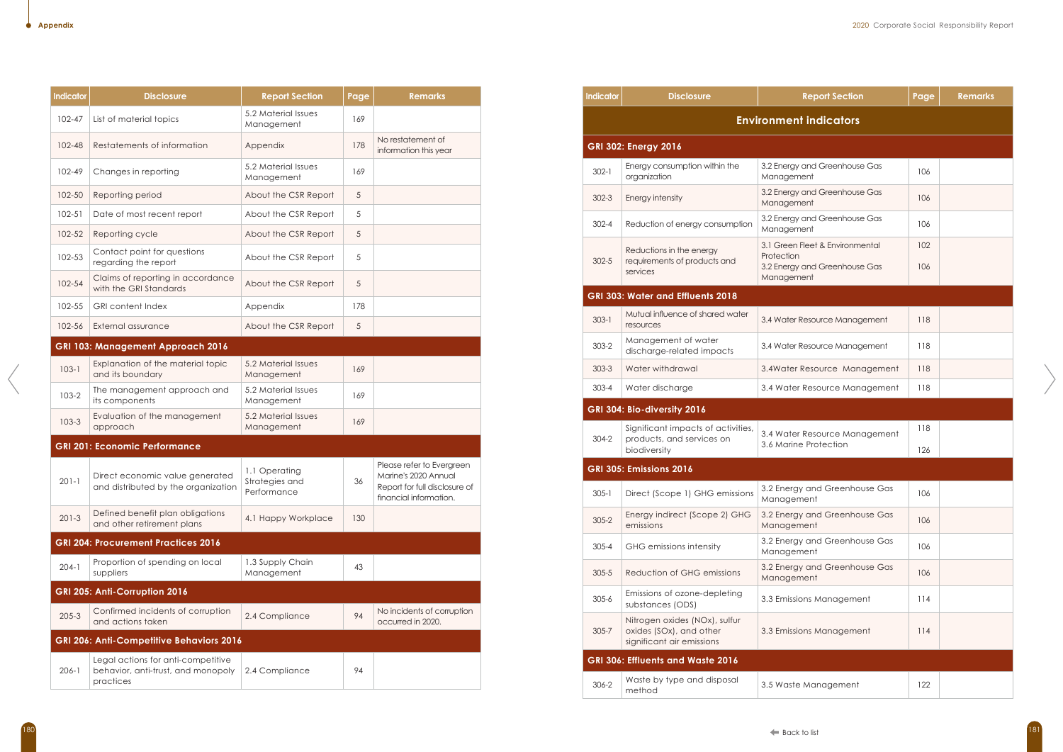| <b>Indicator</b> | <b>Disclosure</b>                                                                     | <b>Report Section</b>                          | Page       | <b>Remarks</b>                                                                                               |
|------------------|---------------------------------------------------------------------------------------|------------------------------------------------|------------|--------------------------------------------------------------------------------------------------------------|
| 102-47           | List of material topics                                                               | 5.2 Material Issues<br>Management              | 169        |                                                                                                              |
| $102 - 48$       | Restatements of information                                                           | Appendix                                       | 178        | No restatement of<br>information this year                                                                   |
| 102-49           | Changes in reporting                                                                  | 5.2 Material Issues<br>Management              | 169        |                                                                                                              |
| 102-50           | Reporting period                                                                      | About the CSR Report                           | 5          |                                                                                                              |
| $102 - 51$       | Date of most recent report                                                            | About the CSR Report                           | 5          |                                                                                                              |
| 102-52           | Reporting cycle                                                                       | About the CSR Report                           | 5          |                                                                                                              |
| 102-53           | Contact point for questions<br>regarding the report                                   | About the CSR Report                           | 5          |                                                                                                              |
| 102-54           | Claims of reporting in accordance<br>with the GRI Standards                           | About the CSR Report                           | $\sqrt{5}$ |                                                                                                              |
| 102-55           | <b>GRI</b> content Index                                                              | Appendix                                       | 178        |                                                                                                              |
| 102-56           | External assurance                                                                    | About the CSR Report                           | 5          |                                                                                                              |
|                  | <b>GRI 103: Management Approach 2016</b>                                              |                                                |            |                                                                                                              |
| $103 - 1$        | Explanation of the material topic<br>and its boundary                                 | 5.2 Material Issues<br>Management              | 169        |                                                                                                              |
| $103 - 2$        | The management approach and<br>its components                                         | 5.2 Material Issues<br>Management              | 169        |                                                                                                              |
| $103 - 3$        | Evaluation of the management<br>approach                                              | 5.2 Material Issues<br>Management              | 169        |                                                                                                              |
|                  | <b>GRI 201: Economic Performance</b>                                                  |                                                |            |                                                                                                              |
| $201 - 1$        | Direct economic value generated<br>and distributed by the organization                | 1.1 Operating<br>Strategies and<br>Performance | 36         | Please refer to Evergreen<br>Marine's 2020 Annual<br>Report for full disclosure of<br>financial information. |
| $201-3$          | Defined benefit plan obligations<br>and other retirement plans                        | 4.1 Happy Workplace                            | 130        |                                                                                                              |
|                  | <b>GRI 204: Procurement Practices 2016</b>                                            |                                                |            |                                                                                                              |
| $204-1$          | Proportion of spending on local<br>suppliers                                          | 1.3 Supply Chain<br>Management                 | 43         |                                                                                                              |
|                  | GRI 205: Anti-Corruption 2016                                                         |                                                |            |                                                                                                              |
| $205 - 3$        | Confirmed incidents of corruption<br>and actions taken                                | 2.4 Compliance                                 | 94         | No incidents of corruption<br>occurred in 2020.                                                              |
|                  | GRI 206: Anti-Competitive Behaviors 2016                                              |                                                |            |                                                                                                              |
| $206 - 1$        | Legal actions for anti-competitive<br>behavior, anti-trust, and monopoly<br>practices | 2.4 Compliance                                 | 94         |                                                                                                              |

| <b>Indicator</b> | <b>Disclosure</b>                                                                     | <b>Report Section</b>                                                                        | Page       | <b>Remarks</b> |
|------------------|---------------------------------------------------------------------------------------|----------------------------------------------------------------------------------------------|------------|----------------|
|                  |                                                                                       | <b>Environment indicators</b>                                                                |            |                |
|                  | <b>GRI 302: Energy 2016</b>                                                           |                                                                                              |            |                |
| $302 - 1$        | Energy consumption within the<br>organization                                         | 3.2 Energy and Greenhouse Gas<br>Management                                                  | 106        |                |
| $302 - 3$        | Energy intensity                                                                      | 3.2 Energy and Greenhouse Gas<br>Management                                                  | 106        |                |
| $302 - 4$        | Reduction of energy consumption                                                       | 3.2 Energy and Greenhouse Gas<br>Management                                                  | 106        |                |
| $302 - 5$        | Reductions in the energy<br>requirements of products and<br>services                  | 3.1 Green Fleet & Environmental<br>Protection<br>3.2 Energy and Greenhouse Gas<br>Management | 102<br>106 |                |
|                  | <b>GRI 303: Water and Effluents 2018</b>                                              |                                                                                              |            |                |
| $303 - 1$        | Mutual influence of shared water<br>resources                                         | 3.4 Water Resource Management                                                                | 118        |                |
| $303 - 2$        | Management of water<br>discharge-related impacts                                      | 3.4 Water Resource Management                                                                | 118        |                |
| $303 - 3$        | Water withdrawal                                                                      | 3.4Water Resource Management                                                                 | 118        |                |
| $303 - 4$        | Water discharge                                                                       | 3.4 Water Resource Management                                                                | 118        |                |
|                  | GRI 304: Bio-diversity 2016                                                           |                                                                                              |            |                |
| $304 - 2$        | Significant impacts of activities,<br>products, and services on<br>biodiversity       | 3.4 Water Resource Management<br>3.6 Marine Protection                                       | 118<br>126 |                |
|                  | <b>GRI 305: Emissions 2016</b>                                                        |                                                                                              |            |                |
| $305 - 1$        | Direct (Scope 1) GHG emissions                                                        | 3.2 Energy and Greenhouse Gas<br>Management                                                  | 106        |                |
| $305 - 2$        | Energy indirect (Scope 2) GHG<br>emissions                                            | 3.2 Energy and Greenhouse Gas<br>Management                                                  | 106        |                |
| $305 - 4$        | GHG emissions intensity                                                               | 3.2 Energy and Greenhouse Gas<br>Management                                                  | 106        |                |
| $305 - 5$        | Reduction of GHG emissions                                                            | 3.2 Energy and Greenhouse Gas<br>Management                                                  | 106        |                |
| $305 - 6$        | Emissions of ozone-depleting<br>substances (ODS)                                      | 3.3 Emissions Management                                                                     | 114        |                |
| $305 - 7$        | Nitrogen oxides (NOx), sulfur<br>oxides (SOx), and other<br>significant air emissions | 3.3 Emissions Management                                                                     | 114        |                |
|                  | GRI 306: Effluents and Waste 2016                                                     |                                                                                              |            |                |
| 306-2            | Waste by type and disposal<br>method                                                  | 3.5 Waste Management                                                                         | 122        |                |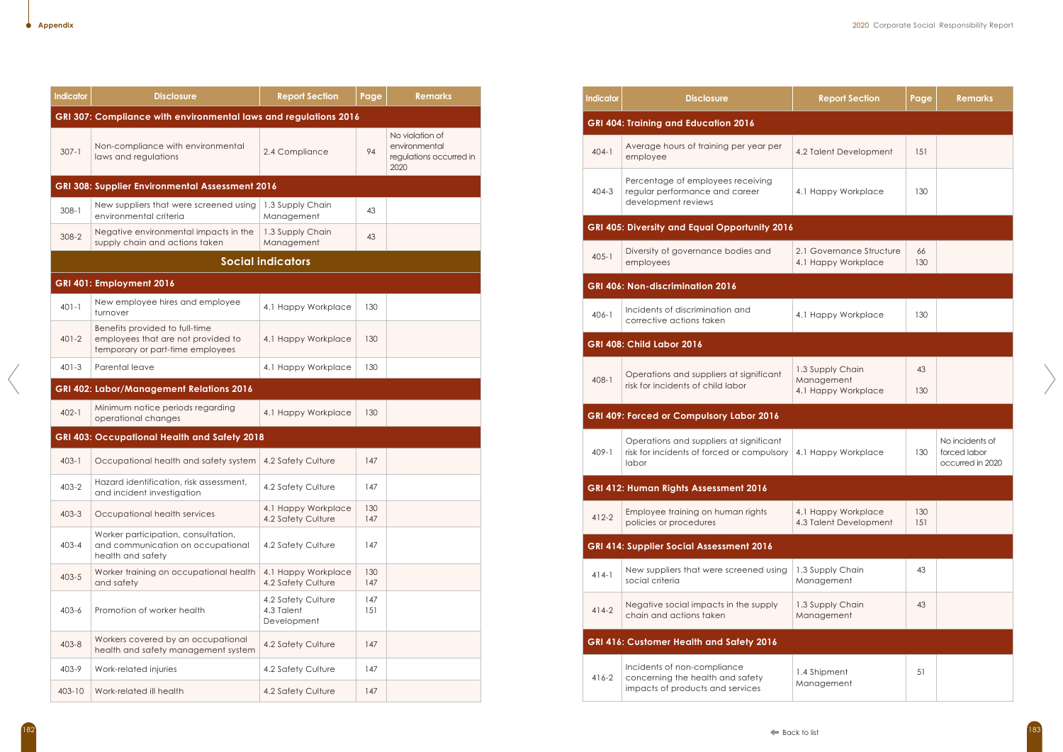| <b>Indicator</b> | <b>Disclosure</b>                                                                                        | <b>Report Section</b>                           | Page       | <b>Remarks</b>                                                      |
|------------------|----------------------------------------------------------------------------------------------------------|-------------------------------------------------|------------|---------------------------------------------------------------------|
|                  | GRI 307: Compliance with environmental laws and regulations 2016                                         |                                                 |            |                                                                     |
| $307 - 1$        | Non-compliance with environmental<br>laws and regulations                                                | 2.4 Compliance                                  | 94         | No violation of<br>environmental<br>regulations occurred in<br>2020 |
|                  | GRI 308: Supplier Environmental Assessment 2016                                                          |                                                 |            |                                                                     |
| $308 - 1$        | New suppliers that were screened using<br>environmental criteria                                         | 1.3 Supply Chain<br>Management                  | 43         |                                                                     |
| $308 - 2$        | Negative environmental impacts in the<br>supply chain and actions taken                                  | 1.3 Supply Chain<br>Management                  | 43         |                                                                     |
|                  |                                                                                                          | <b>Social indicators</b>                        |            |                                                                     |
|                  | GRI 401: Employment 2016                                                                                 |                                                 |            |                                                                     |
| $401 - 1$        | New employee hires and employee<br>turnover                                                              | 4.1 Happy Workplace                             | 130        |                                                                     |
| $401 - 2$        | Benefits provided to full-time<br>employees that are not provided to<br>temporary or part-time employees | 4.1 Happy Workplace                             | 130        |                                                                     |
| $401 - 3$        | Parental leave                                                                                           | 4.1 Happy Workplace                             | 130        |                                                                     |
|                  | GRI 402: Labor/Management Relations 2016                                                                 |                                                 |            |                                                                     |
| $402 - 1$        | Minimum notice periods regarding<br>operational changes                                                  | 4.1 Happy Workplace                             | 130        |                                                                     |
|                  | GRI 403: Occupational Health and Safety 2018                                                             |                                                 |            |                                                                     |
| $403 - 1$        | Occupational health and safety system                                                                    | 4.2 Safety Culture                              | 147        |                                                                     |
| $403 - 2$        | Hazard identification, risk assessment,<br>and incident investigation                                    | 4.2 Safety Culture                              | 147        |                                                                     |
| $403 - 3$        | Occupational health services                                                                             | 4.1 Happy Workplace<br>4.2 Safety Culture       | 130<br>147 |                                                                     |
| $403 - 4$        | Worker participation, consultation,<br>and communication on occupational<br>health and safety            | 4.2 Safety Culture                              | 147        |                                                                     |
| $403 - 5$        | Worker training on occupational health<br>and safety                                                     | 4.1 Happy Workplace<br>4.2 Safety Culture       | 130<br>147 |                                                                     |
| $403 - 6$        | Promotion of worker health                                                                               | 4.2 Safety Culture<br>4.3 Talent<br>Development | 147<br>151 |                                                                     |
| $403 - 8$        | Workers covered by an occupational<br>health and safety management system                                | 4.2 Safety Culture                              | 147        |                                                                     |
| 403-9            | Work-related injuries                                                                                    | 4.2 Safety Culture                              | 147        |                                                                     |
| 403-10           | Work-related ill health                                                                                  | 4.2 Safety Culture                              | 147        |                                                                     |

| <b>Indicator</b> | <b>Disclosure</b>                                                                                   | <b>Report Section</b>                                 | Page       | <b>Remarks</b>                                   |
|------------------|-----------------------------------------------------------------------------------------------------|-------------------------------------------------------|------------|--------------------------------------------------|
|                  | <b>GRI 404: Training and Education 2016</b>                                                         |                                                       |            |                                                  |
| $404 - 1$        | Average hours of training per year per<br>employee                                                  | 4.2 Talent Development                                | 151        |                                                  |
| $404 - 3$        | Percentage of employees receiving<br>regular performance and career<br>development reviews          | 4.1 Happy Workplace                                   | 130        |                                                  |
|                  | GRI 405: Diversity and Equal Opportunity 2016                                                       |                                                       |            |                                                  |
| $405 - 1$        | Diversity of governance bodies and<br>employees                                                     | 2.1 Governance Structure<br>4.1 Happy Workplace       | 66<br>130  |                                                  |
|                  | GRI 406: Non-discrimination 2016                                                                    |                                                       |            |                                                  |
| $406 - 1$        | Incidents of discrimination and<br>corrective actions taken                                         | 4.1 Happy Workplace                                   | 130        |                                                  |
|                  | <b>GRI 408: Child Labor 2016</b>                                                                    |                                                       |            |                                                  |
| $408 - 1$        | Operations and suppliers at significant<br>risk for incidents of child labor                        | 1.3 Supply Chain<br>Management<br>4.1 Happy Workplace | 43<br>130  |                                                  |
|                  | <b>GRI 409: Forced or Compulsory Labor 2016</b>                                                     |                                                       |            |                                                  |
| $409 - 1$        | Operations and suppliers at significant<br>risk for incidents of forced or compulsory<br>labor      | 4.1 Happy Workplace                                   | 130        | No incidents c<br>forced labor<br>occurred in 20 |
|                  | GRI 412: Human Rights Assessment 2016                                                               |                                                       |            |                                                  |
| $412 - 2$        | Employee training on human rights<br>policies or procedures                                         | 4.1 Happy Workplace<br>4.3 Talent Development         | 130<br>151 |                                                  |
|                  | <b>GRI 414: Supplier Social Assessment 2016</b>                                                     |                                                       |            |                                                  |
| $414-1$          | New suppliers that were screened using<br>social criteria                                           | 1.3 Supply Chain<br>Management                        | 43         |                                                  |
| $414-2$          | Negative social impacts in the supply<br>chain and actions taken                                    | 1.3 Supply Chain<br>Management                        | 43         |                                                  |
|                  | GRI 416: Customer Health and Safety 2016                                                            |                                                       |            |                                                  |
| $416 - 2$        | Incidents of non-compliance<br>concerning the health and safety<br>impacts of products and services | 1.4 Shipment<br>Management                            | 51         |                                                  |

| <b>Report Section</b>                           | Page       | <b>Remarks</b>                                      |
|-------------------------------------------------|------------|-----------------------------------------------------|
|                                                 |            |                                                     |
| 4.2 Talent Development                          | 151        |                                                     |
| 4.1 Happy Workplace                             | 130        |                                                     |
|                                                 |            |                                                     |
| 2.1 Governance Structure<br>4.1 Happy Workplace | 66<br>130  |                                                     |
|                                                 |            |                                                     |
| 4.1 Happy Workplace                             | 130        |                                                     |
|                                                 |            |                                                     |
| 1.3 Supply Chain                                | 43         |                                                     |
| Management<br>4.1 Happy Workplace               | 130        |                                                     |
|                                                 |            |                                                     |
| 4.1 Happy Workplace                             | 130        | No incidents of<br>forced labor<br>occurred in 2020 |
|                                                 |            |                                                     |
| 4.1 Happy Workplace<br>4.3 Talent Development   | 130<br>151 |                                                     |
|                                                 |            |                                                     |
| 1.3 Supply Chain<br>Management                  | 43         |                                                     |
| 1.3 Supply Chain<br>Management                  | 43         |                                                     |
|                                                 |            |                                                     |
| 1.4 Shipment<br>Management                      | 51         |                                                     |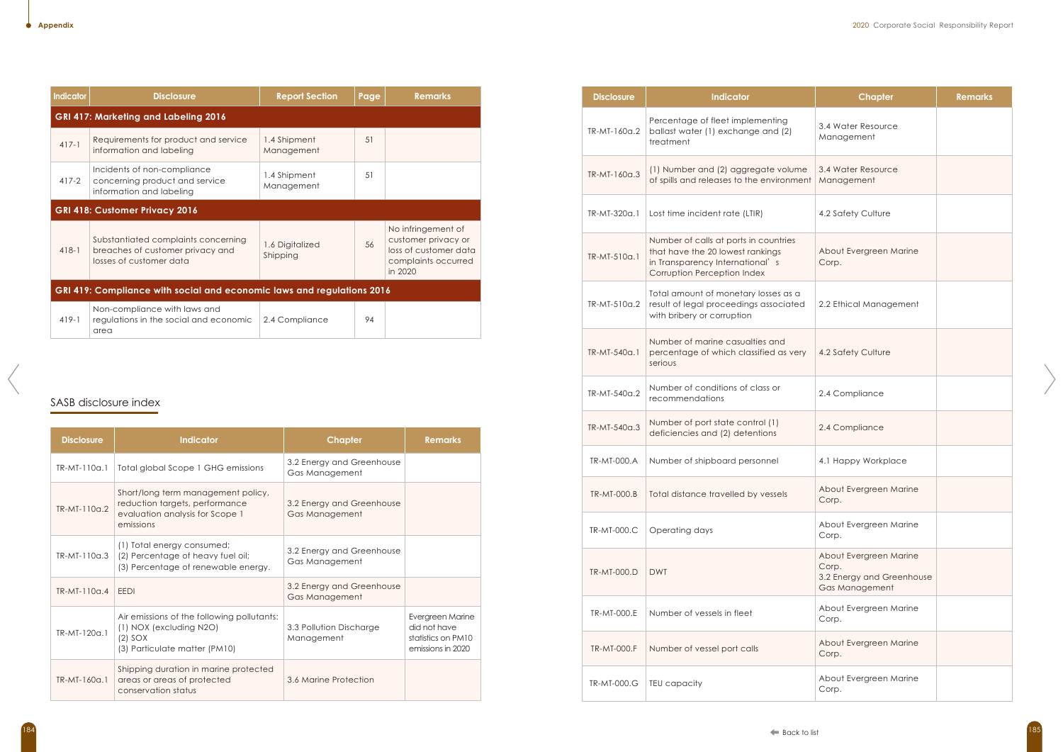# SASB disclosure index

| <b>Disclosure</b> | <b>Indicator</b>                                                                                                     | <b>Chapter</b>                              | <b>Remarks</b>                                                              |
|-------------------|----------------------------------------------------------------------------------------------------------------------|---------------------------------------------|-----------------------------------------------------------------------------|
| TR-MT-110a.1      | Total global Scope 1 GHG emissions                                                                                   | 3.2 Energy and Greenhouse<br>Gas Management |                                                                             |
| TR-MT-110a.2      | Short/long term management policy,<br>reduction targets, performance<br>evaluation analysis for Scope 1<br>emissions | 3.2 Energy and Greenhouse<br>Gas Management |                                                                             |
| TR-MT-110a.3      | (1) Total energy consumed;<br>(2) Percentage of heavy fuel oil;<br>(3) Percentage of renewable energy.               | 3.2 Energy and Greenhouse<br>Gas Management |                                                                             |
| $TR-MI-110a.4$    | <b>EEDI</b>                                                                                                          | 3.2 Energy and Greenhouse<br>Gas Management |                                                                             |
| $TR-MI-120a.1$    | Air emissions of the following pollutants:<br>(1) NOX (excluding N2O)<br>$(2)$ SOX<br>(3) Particulate matter (PM10)  | 3.3 Pollution Discharge<br>Management       | Evergreen Marine<br>did not have<br>statistics on PM10<br>emissions in 2020 |
| TR-MT-160a.1      | Shipping duration in marine protected<br>areas or areas of protected<br>conservation status                          | 3.6 Marine Protection                       |                                                                             |

| <b>Indicator</b> | <b>Disclosure</b>                                                                                  | <b>Report Section</b>       | Page | <b>Remarks</b>                                                                                       |
|------------------|----------------------------------------------------------------------------------------------------|-----------------------------|------|------------------------------------------------------------------------------------------------------|
|                  | GRI 417: Marketing and Labeling 2016                                                               |                             |      |                                                                                                      |
| $417-1$          | Requirements for product and service<br>information and labeling                                   | 1.4 Shipment<br>Management  | 51   |                                                                                                      |
| $417-2$          | Incidents of non-compliance<br>concerning product and service<br>information and labeling          | 1.4 Shipment<br>Management  | .51  |                                                                                                      |
|                  | <b>GRI 418: Customer Privacy 2016</b>                                                              |                             |      |                                                                                                      |
| $418-1$          | Substantiated complaints concerning<br>breaches of customer privacy and<br>losses of customer data | 1.6 Digitalized<br>Shipping | 56   | No infringement of<br>customer privacy or<br>loss of customer data<br>complaints occurred<br>in 2020 |
|                  | GRI 419: Compliance with social and economic laws and regulations 2016                             |                             |      |                                                                                                      |
| $419-1$          | Non-compliance with laws and<br>regulations in the social and economic<br>area                     | 2.4 Compliance              | 94   |                                                                                                      |

| <b>Disclosure</b> | <b>Indicator</b>                                                                                                                            | <b>Chapter</b>                                                                 | <b>Remarks</b> |
|-------------------|---------------------------------------------------------------------------------------------------------------------------------------------|--------------------------------------------------------------------------------|----------------|
| TR-MT-160a.2      | Percentage of fleet implementing<br>ballast water (1) exchange and (2)<br>treatment                                                         | 3.4 Water Resource<br>Management                                               |                |
| TR-MT-160a.3      | (1) Number and (2) aggregate volume<br>of spills and releases to the environment                                                            | 3.4 Water Resource<br>Management                                               |                |
| TR-MT-320a.1      | Lost time incident rate (LTIR)                                                                                                              | 4.2 Safety Culture                                                             |                |
| TR-MT-510a.1      | Number of calls at ports in countries<br>that have the 20 lowest rankings<br>in Transparency International's<br>Corruption Perception Index | About Evergreen Marine<br>Corp.                                                |                |
| TR-MT-510a.2      | Total amount of monetary losses as a<br>result of legal proceedings associated<br>with bribery or corruption                                | 2.2 Ethical Management                                                         |                |
| TR-MT-540a.1      | Number of marine casualties and<br>percentage of which classified as very<br>serious                                                        | 4.2 Safety Culture                                                             |                |
| TR-MT-540a.2      | Number of conditions of class or<br>recommendations                                                                                         | 2.4 Compliance                                                                 |                |
| TR-MT-540a.3      | Number of port state control (1)<br>deficiencies and (2) detentions                                                                         | 2.4 Compliance                                                                 |                |
| TR-MT-000.A       | Number of shipboard personnel                                                                                                               | 4.1 Happy Workplace                                                            |                |
| TR-MT-000.B       | Total distance travelled by vessels                                                                                                         | About Evergreen Marine<br>Corp.                                                |                |
| TR-MT-000.C       | Operating days                                                                                                                              | About Evergreen Marine<br>Corp.                                                |                |
| TR-MT-000.D       | <b>DWT</b>                                                                                                                                  | About Evergreen Marine<br>Corp.<br>3.2 Energy and Greenhouse<br>Gas Management |                |
| TR-MT-000.E       | Number of vessels in fleet                                                                                                                  | About Evergreen Marine<br>Corp.                                                |                |
| TR-MT-000.F       | Number of vessel port calls                                                                                                                 | About Evergreen Marine<br>Corp.                                                |                |
| TR-MT-000.G       | TEU capacity                                                                                                                                | About Evergreen Marine<br>Corp.                                                |                |

Х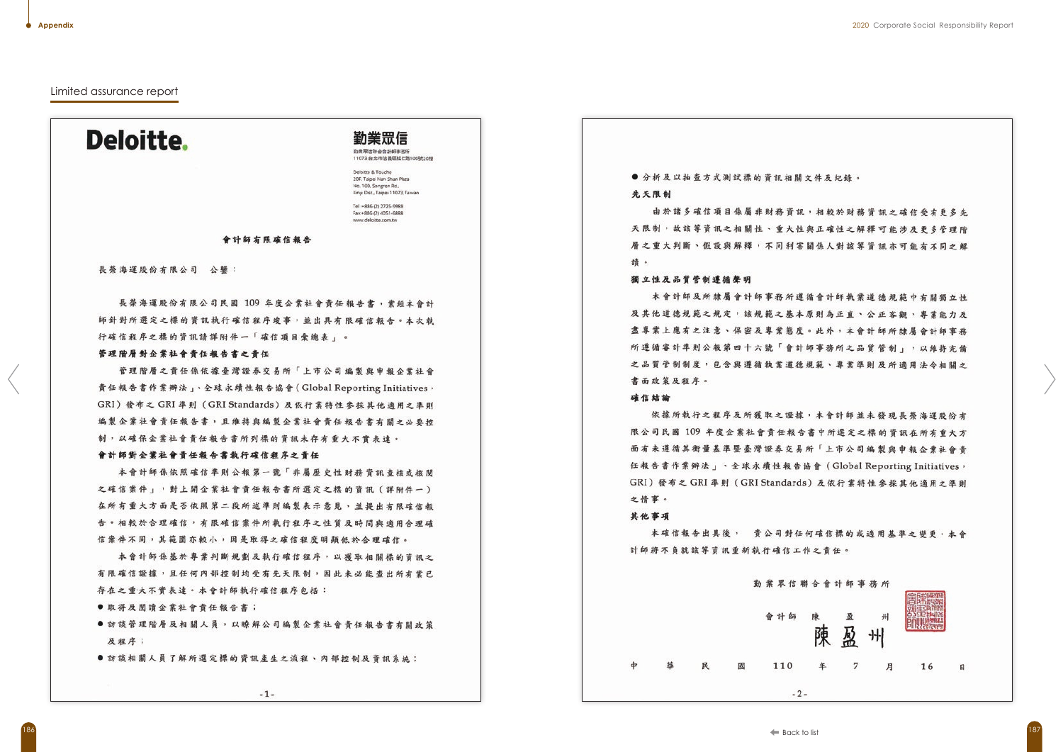## Limited assurance report

# **Deloitte.**

勤業眾信 勤業双信報会会計師事務所

11073 台北市信義區松仁路100號20樓

Deloitte & Touche 20F, Taipei Nan Shan Plaza No. 100, Songren Rd., Xinyi Dist., Taipei 11073, Taiwan

Tel:+886 (2) 2725-9988 Fax: +886 (2) 4051-6888 www.deloitte.com.tw

## 會計師有限確信報告

長榮海運股份有限公司 公鑒:

長榮海運股份有限公司民國 109 年度企業社會責任報告書,業經本會計 師針對所選定之標的資訊執行確信程序竣事,並出具有限確信報告。本次執 行確信程序之標的資訊請詳附件一「確信項目彙總表」。

#### 管理階層對企業社會責任報告書之責任

管理階層之責任係依據臺灣證券交易所「上市公司編製與申報企業社會 責任報告書作業辦法」、全球永續性報告協會(Global Reporting Initiatives, GRI) 發布之 GRI 準則 (GRI Standards) 及依行業特性參採其他適用之準則 編製企業社會責任報告書,且維持與編製企業社會責任報告書有關之必要按 制,以確保企業社會責任報告書所列標的資訊未存有重大不實表達。

#### 會計師對企業社會責任報告書執行確信程序之責任

本會計師係依照確信準則公報第一號「非屬歷史性財務資訊查核或核閱 之確信案件」,對上開企業社會責任報告書所選定之標的資訊 (詳附件一) 在所有重大方面是否依照第二段所述準則編製表示意見,並提出有限確信報 告。相較於合理確信,有限確信案件所執行程序之性質及時間與適用合理確 信案件不同,其範圍亦較小,因是取得之確信程度明顯低於合理確信。

本會計師係基於專業判斷規劃及執行確信程序,以獲取相關標的資訊之 有限確信證據,且任何內部控制均受有先天限制,因此未必能查出所有業已 存在之重大不實表達。本會計師執行確信程序包括:

- 取得及閱讀企業社會責任報告書;
- ●訪談管理階層及相關人員,以瞭解公司編製企業社會責任報告書有關政笛 及程序;
- ●訪談相關人員了解所選定標的資訊產生之流程、內部控制及資訊系統;

# ●分析及以抽查方式测试標的資訊相關文件及紀錄。 先天限制

由於諸多確信項目係屬非財務資訊,相較於財務資訊之確信受有更多先 天限制,故該等資訊之相關性、重大性與正確性之解釋可能涉及更多管理階 層之重大判斷、假設與解釋,不同利害關係人對該等資訊亦可能有不同之解 诗。

## 獨立性及品質管制遵循聲明

本會計師及所隸屬會計師事務所遵循會計師執業道德規範中有關獨立性 及其他道德規範之規定,該規範之基本原則為正直、公正客觀、專業能力及 盡專業上應有之注意、保密及專業態度。此外,本會計師所隸屬會計師事務 所遵循審計準則公報第四十六號「會計師事務所之品質管制」,以維持完備 之品質管制制度,包含與遵循執業道德規範、專業準則及所適用法今相關之 書面政策及程序。

## 確信結論

依據所執行之程序及所獲取之證據,本會計師並未發現長榮海運股份有 限公司民國 109 年度企業社會責任報告書中所選定之標的資訊在所有重大方 面有未遵循其衡量基準暨臺灣證券交易所「上市公司編製與申報企業社會責 任報告書作業辦法」、全球永續性報告協會 (Global Reporting Initiatives, GRI) 發布之 GRI 準則 (GRI Standards) 及依行業特性參採其他適用之準則 之情事。

#### 其他事項

 $\phi$ 

本確信報告出具後, 貴公司對任何確信標的或適用基準之變更,本會 計師將不負就該等資訊重新執行確信工作之責任。

|   |   |   |  | 勤業眾信聯 |       |
|---|---|---|--|-------|-------|
|   |   |   |  | 會計師   |       |
| 益 | 民 | 國 |  | 110   |       |
|   |   |   |  |       | $-2-$ |

合會計師事務所

盈 卅 陳 屬 陳

-7

月



16